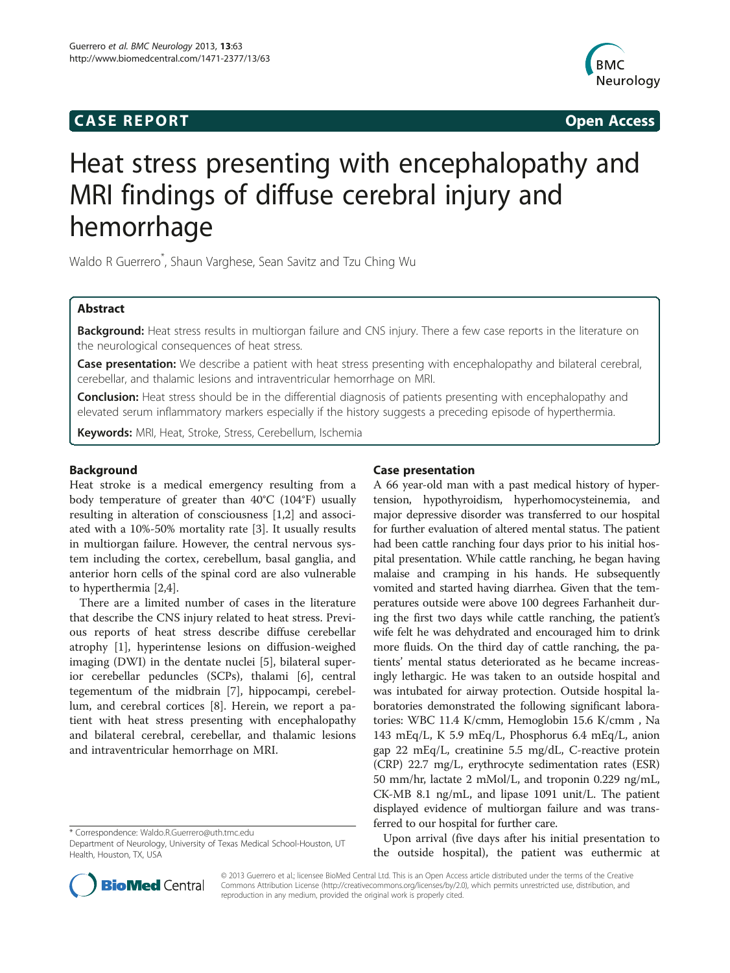# **CASE REPORT CASE REPORT**



# Heat stress presenting with encephalopathy and MRI findings of diffuse cerebral injury and hemorrhage

Waldo R Guerrero\* , Shaun Varghese, Sean Savitz and Tzu Ching Wu

# Abstract

Background: Heat stress results in multiorgan failure and CNS injury. There a few case reports in the literature on the neurological consequences of heat stress.

Case presentation: We describe a patient with heat stress presenting with encephalopathy and bilateral cerebral, cerebellar, and thalamic lesions and intraventricular hemorrhage on MRI.

**Conclusion:** Heat stress should be in the differential diagnosis of patients presenting with encephalopathy and elevated serum inflammatory markers especially if the history suggests a preceding episode of hyperthermia.

Keywords: MRI, Heat, Stroke, Stress, Cerebellum, Ischemia

# Background

Heat stroke is a medical emergency resulting from a body temperature of greater than 40°C (104°F) usually resulting in alteration of consciousness [\[1](#page-3-0),[2](#page-3-0)] and associated with a 10%-50% mortality rate [[3\]](#page-3-0). It usually results in multiorgan failure. However, the central nervous system including the cortex, cerebellum, basal ganglia, and anterior horn cells of the spinal cord are also vulnerable to hyperthermia [[2,4\]](#page-3-0).

There are a limited number of cases in the literature that describe the CNS injury related to heat stress. Previous reports of heat stress describe diffuse cerebellar atrophy [\[1](#page-3-0)], hyperintense lesions on diffusion-weighed imaging (DWI) in the dentate nuclei [[5\]](#page-3-0), bilateral superior cerebellar peduncles (SCPs), thalami [\[6](#page-3-0)], central tegementum of the midbrain [\[7\]](#page-3-0), hippocampi, cerebellum, and cerebral cortices [[8](#page-3-0)]. Herein, we report a patient with heat stress presenting with encephalopathy and bilateral cerebral, cerebellar, and thalamic lesions and intraventricular hemorrhage on MRI.

# Case presentation

A 66 year-old man with a past medical history of hypertension, hypothyroidism, hyperhomocysteinemia, and major depressive disorder was transferred to our hospital for further evaluation of altered mental status. The patient had been cattle ranching four days prior to his initial hospital presentation. While cattle ranching, he began having malaise and cramping in his hands. He subsequently vomited and started having diarrhea. Given that the temperatures outside were above 100 degrees Farhanheit during the first two days while cattle ranching, the patient's wife felt he was dehydrated and encouraged him to drink more fluids. On the third day of cattle ranching, the patients' mental status deteriorated as he became increasingly lethargic. He was taken to an outside hospital and was intubated for airway protection. Outside hospital laboratories demonstrated the following significant laboratories: WBC 11.4 K/cmm, Hemoglobin 15.6 K/cmm , Na 143 mEq/L, K 5.9 mEq/L, Phosphorus 6.4 mEq/L, anion gap 22 mEq/L, creatinine 5.5 mg/dL, C-reactive protein (CRP) 22.7 mg/L, erythrocyte sedimentation rates (ESR) 50 mm/hr, lactate 2 mMol/L, and troponin 0.229 ng/mL, CK-MB 8.1 ng/mL, and lipase 1091 unit/L. The patient displayed evidence of multiorgan failure and was transferred to our hospital for further care.

Upon arrival (five days after his initial presentation to the outside hospital), the patient was euthermic at



© 2013 Guerrero et al.; licensee BioMed Central Ltd. This is an Open Access article distributed under the terms of the Creative Commons Attribution License [\(http://creativecommons.org/licenses/by/2.0\)](http://creativecommons.org/licenses/by/2.0), which permits unrestricted use, distribution, and reproduction in any medium, provided the original work is properly cited.

<sup>\*</sup> Correspondence: [Waldo.R.Guerrero@uth.tmc.edu](mailto:Waldo.R.Guerrero@uth.tmc.edu)

Department of Neurology, University of Texas Medical School-Houston, UT Health, Houston, TX, USA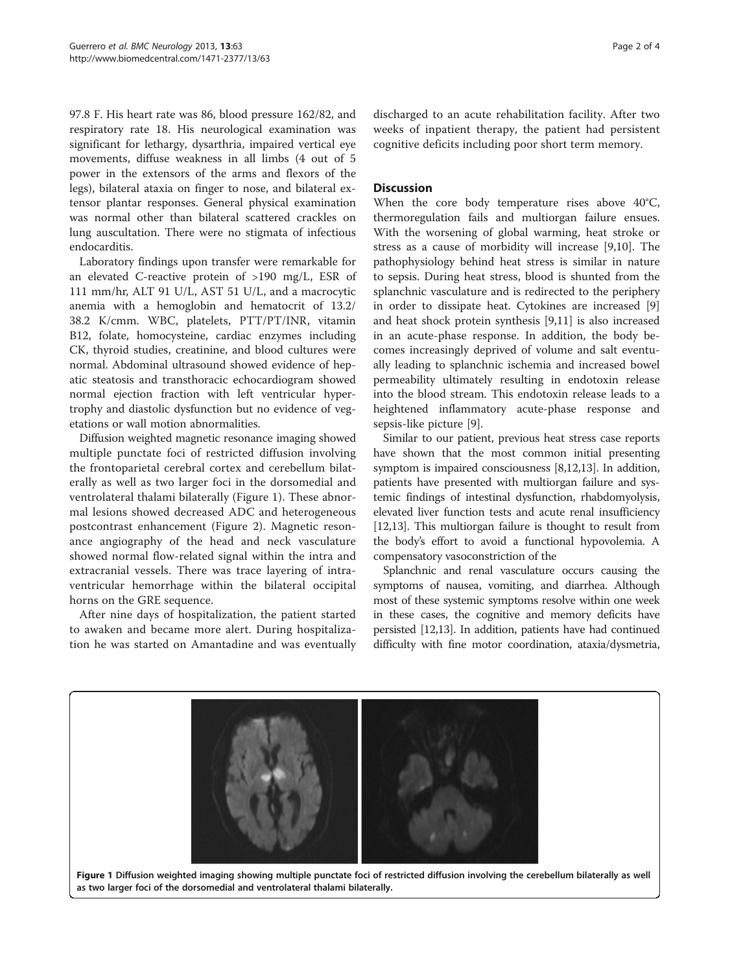97.8 F. His heart rate was 86, blood pressure 162/82, and respiratory rate 18. His neurological examination was significant for lethargy, dysarthria, impaired vertical eye movements, diffuse weakness in all limbs (4 out of 5 power in the extensors of the arms and flexors of the legs), bilateral ataxia on finger to nose, and bilateral extensor plantar responses. General physical examination was normal other than bilateral scattered crackles on lung auscultation. There were no stigmata of infectious endocarditis.

Laboratory findings upon transfer were remarkable for an elevated C-reactive protein of >190 mg/L, ESR of 111 mm/hr, ALT 91 U/L, AST 51 U/L, and a macrocytic anemia with a hemoglobin and hematocrit of 13.2/ 38.2 K/cmm. WBC, platelets, PTT/PT/INR, vitamin B12, folate, homocysteine, cardiac enzymes including CK, thyroid studies, creatinine, and blood cultures were normal. Abdominal ultrasound showed evidence of hepatic steatosis and transthoracic echocardiogram showed normal ejection fraction with left ventricular hypertrophy and diastolic dysfunction but no evidence of vegetations or wall motion abnormalities.

Diffusion weighted magnetic resonance imaging showed multiple punctate foci of restricted diffusion involving the frontoparietal cerebral cortex and cerebellum bilaterally as well as two larger foci in the dorsomedial and ventrolateral thalami bilaterally (Figure 1). These abnormal lesions showed decreased ADC and heterogeneous postcontrast enhancement (Figure [2](#page-2-0)). Magnetic resonance angiography of the head and neck vasculature showed normal flow-related signal within the intra and extracranial vessels. There was trace layering of intraventricular hemorrhage within the bilateral occipital horns on the GRE sequence.

After nine days of hospitalization, the patient started to awaken and became more alert. During hospitalization he was started on Amantadine and was eventually discharged to an acute rehabilitation facility. After two weeks of inpatient therapy, the patient had persistent cognitive deficits including poor short term memory.

### **Discussion**

When the core body temperature rises above 40°C, thermoregulation fails and multiorgan failure ensues. With the worsening of global warming, heat stroke or stress as a cause of morbidity will increase [[9,10\]](#page-3-0). The pathophysiology behind heat stress is similar in nature to sepsis. During heat stress, blood is shunted from the splanchnic vasculature and is redirected to the periphery in order to dissipate heat. Cytokines are increased [\[9](#page-3-0)] and heat shock protein synthesis [\[9](#page-3-0),[11](#page-3-0)] is also increased in an acute-phase response. In addition, the body becomes increasingly deprived of volume and salt eventually leading to splanchnic ischemia and increased bowel permeability ultimately resulting in endotoxin release into the blood stream. This endotoxin release leads to a heightened inflammatory acute-phase response and sepsis-like picture [\[9](#page-3-0)].

Similar to our patient, previous heat stress case reports have shown that the most common initial presenting symptom is impaired consciousness [\[8,12,13\]](#page-3-0). In addition, patients have presented with multiorgan failure and systemic findings of intestinal dysfunction, rhabdomyolysis, elevated liver function tests and acute renal insufficiency [[12,13](#page-3-0)]. This multiorgan failure is thought to result from the body's effort to avoid a functional hypovolemia. A compensatory vasoconstriction of the

Splanchnic and renal vasculature occurs causing the symptoms of nausea, vomiting, and diarrhea. Although most of these systemic symptoms resolve within one week in these cases, the cognitive and memory deficits have persisted [\[12,13](#page-3-0)]. In addition, patients have had continued difficulty with fine motor coordination, ataxia/dysmetria,

Figure 1 Diffusion weighted imaging showing multiple punctate foci of restricted diffusion involving the cerebellum bilaterally as well as two larger foci of the dorsomedial and ventrolateral thalami bilaterally.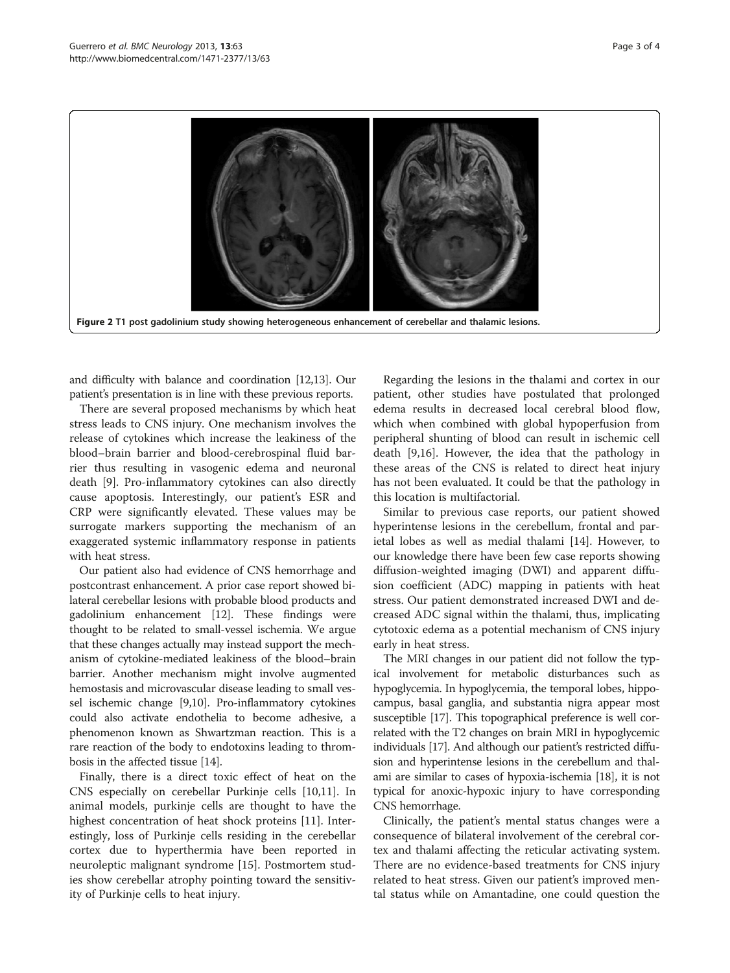<span id="page-2-0"></span>

and difficulty with balance and coordination [\[12,13](#page-3-0)]. Our patient's presentation is in line with these previous reports.

There are several proposed mechanisms by which heat stress leads to CNS injury. One mechanism involves the release of cytokines which increase the leakiness of the blood–brain barrier and blood-cerebrospinal fluid barrier thus resulting in vasogenic edema and neuronal death [[9\]](#page-3-0). Pro-inflammatory cytokines can also directly cause apoptosis. Interestingly, our patient's ESR and CRP were significantly elevated. These values may be surrogate markers supporting the mechanism of an exaggerated systemic inflammatory response in patients with heat stress.

Our patient also had evidence of CNS hemorrhage and postcontrast enhancement. A prior case report showed bilateral cerebellar lesions with probable blood products and gadolinium enhancement [[12](#page-3-0)]. These findings were thought to be related to small-vessel ischemia. We argue that these changes actually may instead support the mechanism of cytokine-mediated leakiness of the blood–brain barrier. Another mechanism might involve augmented hemostasis and microvascular disease leading to small vessel ischemic change [\[9,10\]](#page-3-0). Pro-inflammatory cytokines could also activate endothelia to become adhesive, a phenomenon known as Shwartzman reaction. This is a rare reaction of the body to endotoxins leading to thrombosis in the affected tissue [[14](#page-3-0)].

Finally, there is a direct toxic effect of heat on the CNS especially on cerebellar Purkinje cells [[10,11\]](#page-3-0). In animal models, purkinje cells are thought to have the highest concentration of heat shock proteins [[11\]](#page-3-0). Interestingly, loss of Purkinje cells residing in the cerebellar cortex due to hyperthermia have been reported in neuroleptic malignant syndrome [\[15](#page-3-0)]. Postmortem studies show cerebellar atrophy pointing toward the sensitivity of Purkinje cells to heat injury.

Regarding the lesions in the thalami and cortex in our patient, other studies have postulated that prolonged edema results in decreased local cerebral blood flow, which when combined with global hypoperfusion from peripheral shunting of blood can result in ischemic cell death [[9](#page-3-0),[16](#page-3-0)]. However, the idea that the pathology in these areas of the CNS is related to direct heat injury has not been evaluated. It could be that the pathology in this location is multifactorial.

Similar to previous case reports, our patient showed hyperintense lesions in the cerebellum, frontal and parietal lobes as well as medial thalami [\[14\]](#page-3-0). However, to our knowledge there have been few case reports showing diffusion-weighted imaging (DWI) and apparent diffusion coefficient (ADC) mapping in patients with heat stress. Our patient demonstrated increased DWI and decreased ADC signal within the thalami, thus, implicating cytotoxic edema as a potential mechanism of CNS injury early in heat stress.

The MRI changes in our patient did not follow the typical involvement for metabolic disturbances such as hypoglycemia. In hypoglycemia, the temporal lobes, hippocampus, basal ganglia, and substantia nigra appear most susceptible [\[17\]](#page-3-0). This topographical preference is well correlated with the T2 changes on brain MRI in hypoglycemic individuals [[17](#page-3-0)]. And although our patient's restricted diffusion and hyperintense lesions in the cerebellum and thalami are similar to cases of hypoxia-ischemia [\[18\]](#page-3-0), it is not typical for anoxic-hypoxic injury to have corresponding CNS hemorrhage.

Clinically, the patient's mental status changes were a consequence of bilateral involvement of the cerebral cortex and thalami affecting the reticular activating system. There are no evidence-based treatments for CNS injury related to heat stress. Given our patient's improved mental status while on Amantadine, one could question the